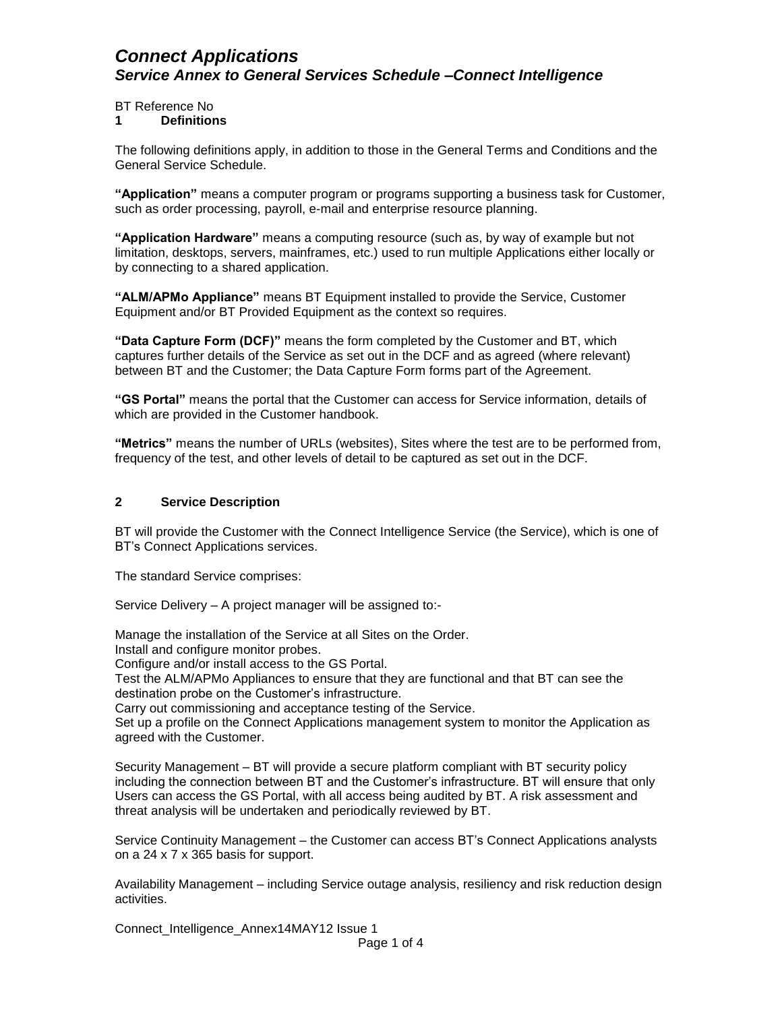BT Reference No

#### **1 Definitions**

The following definitions apply, in addition to those in the General Terms and Conditions and the General Service Schedule.

**"Application"** means a computer program or programs supporting a business task for Customer, such as order processing, payroll, e-mail and enterprise resource planning.

**"Application Hardware"** means a computing resource (such as, by way of example but not limitation, desktops, servers, mainframes, etc.) used to run multiple Applications either locally or by connecting to a shared application.

**"ALM/APMo Appliance"** means BT Equipment installed to provide the Service, Customer Equipment and/or BT Provided Equipment as the context so requires.

**"Data Capture Form (DCF)"** means the form completed by the Customer and BT, which captures further details of the Service as set out in the DCF and as agreed (where relevant) between BT and the Customer; the Data Capture Form forms part of the Agreement.

**"GS Portal"** means the portal that the Customer can access for Service information, details of which are provided in the Customer handbook.

**"Metrics"** means the number of URLs (websites), Sites where the test are to be performed from, frequency of the test, and other levels of detail to be captured as set out in the DCF.

#### **2 Service Description**

BT will provide the Customer with the Connect Intelligence Service (the Service), which is one of BT's Connect Applications services.

The standard Service comprises:

Service Delivery – A project manager will be assigned to:-

Manage the installation of the Service at all Sites on the Order.

Install and configure monitor probes.

Configure and/or install access to the GS Portal.

Test the ALM/APMo Appliances to ensure that they are functional and that BT can see the destination probe on the Customer's infrastructure.

Carry out commissioning and acceptance testing of the Service.

Set up a profile on the Connect Applications management system to monitor the Application as agreed with the Customer.

Security Management – BT will provide a secure platform compliant with BT security policy including the connection between BT and the Customer's infrastructure. BT will ensure that only Users can access the GS Portal, with all access being audited by BT. A risk assessment and threat analysis will be undertaken and periodically reviewed by BT.

Service Continuity Management – the Customer can access BT's Connect Applications analysts on a 24 x 7 x 365 basis for support.

Availability Management – including Service outage analysis, resiliency and risk reduction design activities.

Connect\_Intelligence\_Annex14MAY12 Issue 1 Page 1 of 4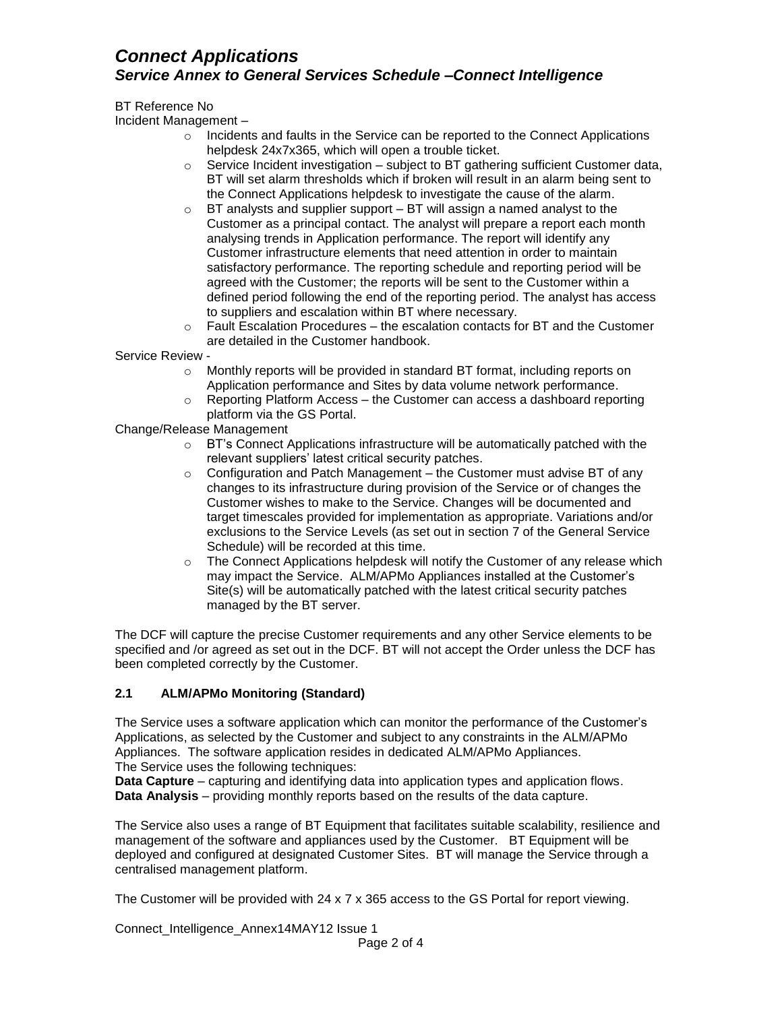BT Reference No

Incident Management –

- o Incidents and faults in the Service can be reported to the Connect Applications helpdesk 24x7x365, which will open a trouble ticket.
- $\circ$  Service Incident investigation subject to BT gathering sufficient Customer data, BT will set alarm thresholds which if broken will result in an alarm being sent to the Connect Applications helpdesk to investigate the cause of the alarm.
- $\circ$  BT analysts and supplier support BT will assign a named analyst to the Customer as a principal contact. The analyst will prepare a report each month analysing trends in Application performance. The report will identify any Customer infrastructure elements that need attention in order to maintain satisfactory performance. The reporting schedule and reporting period will be agreed with the Customer; the reports will be sent to the Customer within a defined period following the end of the reporting period. The analyst has access to suppliers and escalation within BT where necessary.
- $\circ$  Fault Escalation Procedures the escalation contacts for BT and the Customer are detailed in the Customer handbook.

Service Review -

- o Monthly reports will be provided in standard BT format, including reports on Application performance and Sites by data volume network performance.
- $\circ$  Reporting Platform Access the Customer can access a dashboard reporting platform via the GS Portal.

Change/Release Management

- o BT's Connect Applications infrastructure will be automatically patched with the relevant suppliers' latest critical security patches.
- $\circ$  Configuration and Patch Management the Customer must advise BT of any changes to its infrastructure during provision of the Service or of changes the Customer wishes to make to the Service. Changes will be documented and target timescales provided for implementation as appropriate. Variations and/or exclusions to the Service Levels (as set out in section 7 of the General Service Schedule) will be recorded at this time.
- o The Connect Applications helpdesk will notify the Customer of any release which may impact the Service. ALM/APMo Appliances installed at the Customer's Site(s) will be automatically patched with the latest critical security patches managed by the BT server.

The DCF will capture the precise Customer requirements and any other Service elements to be specified and /or agreed as set out in the DCF. BT will not accept the Order unless the DCF has been completed correctly by the Customer.

### **2.1 ALM/APMo Monitoring (Standard)**

The Service uses a software application which can monitor the performance of the Customer's Applications, as selected by the Customer and subject to any constraints in the ALM/APMo Appliances. The software application resides in dedicated ALM/APMo Appliances. The Service uses the following techniques:

**Data Capture** – capturing and identifying data into application types and application flows. **Data Analysis** – providing monthly reports based on the results of the data capture.

The Service also uses a range of BT Equipment that facilitates suitable scalability, resilience and management of the software and appliances used by the Customer. BT Equipment will be deployed and configured at designated Customer Sites. BT will manage the Service through a centralised management platform.

The Customer will be provided with 24 x 7 x 365 access to the GS Portal for report viewing.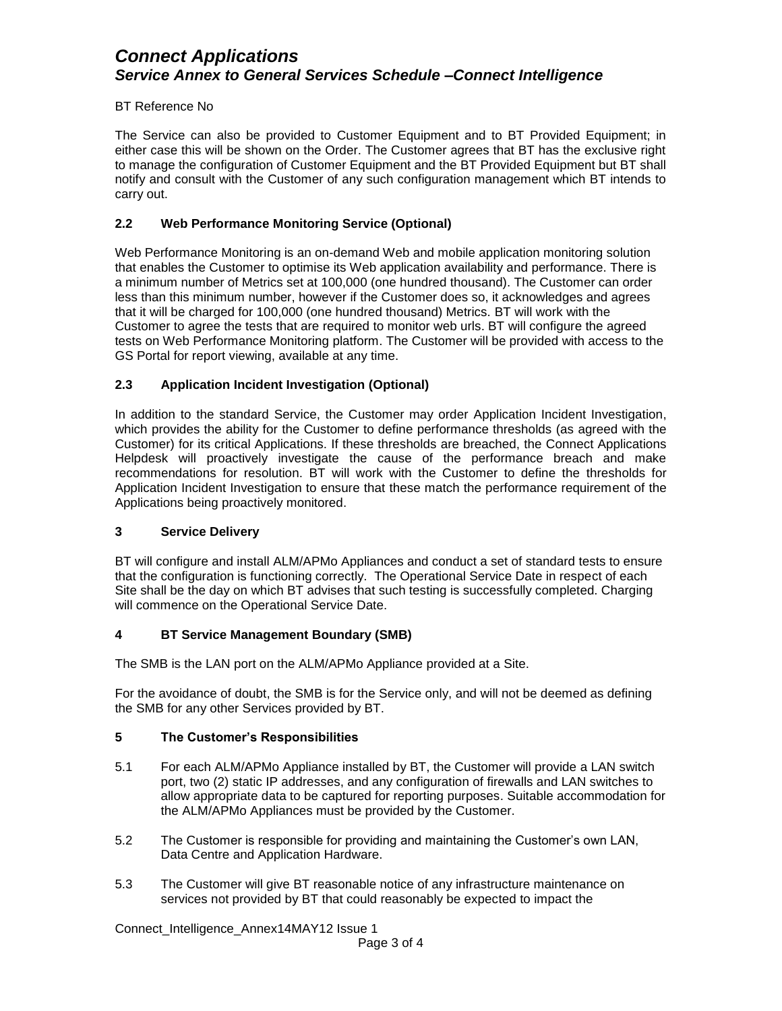### BT Reference No

The Service can also be provided to Customer Equipment and to BT Provided Equipment; in either case this will be shown on the Order. The Customer agrees that BT has the exclusive right to manage the configuration of Customer Equipment and the BT Provided Equipment but BT shall notify and consult with the Customer of any such configuration management which BT intends to carry out.

### **2.2 Web Performance Monitoring Service (Optional)**

Web Performance Monitoring is an on-demand Web and mobile application monitoring solution that enables the Customer to optimise its Web application availability and performance. There is a minimum number of Metrics set at 100,000 (one hundred thousand). The Customer can order less than this minimum number, however if the Customer does so, it acknowledges and agrees that it will be charged for 100,000 (one hundred thousand) Metrics. BT will work with the Customer to agree the tests that are required to monitor web urls. BT will configure the agreed tests on Web Performance Monitoring platform. The Customer will be provided with access to the GS Portal for report viewing, available at any time.

## **2.3 Application Incident Investigation (Optional)**

In addition to the standard Service, the Customer may order Application Incident Investigation, which provides the ability for the Customer to define performance thresholds (as agreed with the Customer) for its critical Applications. If these thresholds are breached, the Connect Applications Helpdesk will proactively investigate the cause of the performance breach and make recommendations for resolution. BT will work with the Customer to define the thresholds for Application Incident Investigation to ensure that these match the performance requirement of the Applications being proactively monitored.

### **3 Service Delivery**

BT will configure and install ALM/APMo Appliances and conduct a set of standard tests to ensure that the configuration is functioning correctly. The Operational Service Date in respect of each Site shall be the day on which BT advises that such testing is successfully completed. Charging will commence on the Operational Service Date.

### **4 BT Service Management Boundary (SMB)**

The SMB is the LAN port on the ALM/APMo Appliance provided at a Site.

For the avoidance of doubt, the SMB is for the Service only, and will not be deemed as defining the SMB for any other Services provided by BT.

### **5 The Customer's Responsibilities**

- 5.1 For each ALM/APMo Appliance installed by BT, the Customer will provide a LAN switch port, two (2) static IP addresses, and any configuration of firewalls and LAN switches to allow appropriate data to be captured for reporting purposes. Suitable accommodation for the ALM/APMo Appliances must be provided by the Customer.
- 5.2 The Customer is responsible for providing and maintaining the Customer's own LAN, Data Centre and Application Hardware.
- 5.3 The Customer will give BT reasonable notice of any infrastructure maintenance on services not provided by BT that could reasonably be expected to impact the

Connect\_Intelligence\_Annex14MAY12 Issue 1